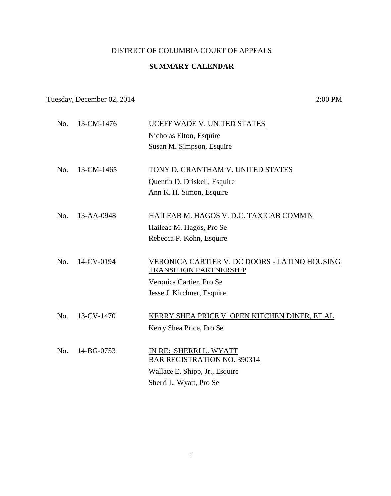## DISTRICT OF COLUMBIA COURT OF APPEALS

## **SUMMARY CALENDAR**

## Tuesday, December 02, 2014 2:00 PM

| No. | 13-CM-1476 | UCEFF WADE V. UNITED STATES                                                    |
|-----|------------|--------------------------------------------------------------------------------|
|     |            | Nicholas Elton, Esquire                                                        |
|     |            | Susan M. Simpson, Esquire                                                      |
| No. | 13-CM-1465 | TONY D. GRANTHAM V. UNITED STATES                                              |
|     |            | Quentin D. Driskell, Esquire                                                   |
|     |            | Ann K. H. Simon, Esquire                                                       |
|     |            |                                                                                |
| No. | 13-AA-0948 | HAILEAB M. HAGOS V. D.C. TAXICAB COMM'N                                        |
|     |            | Haileab M. Hagos, Pro Se                                                       |
|     |            | Rebecca P. Kohn, Esquire                                                       |
|     |            |                                                                                |
| No. | 14-CV-0194 | VERONICA CARTIER V. DC DOORS - LATINO HOUSING<br><b>TRANSITION PARTNERSHIP</b> |
|     |            | Veronica Cartier, Pro Se                                                       |
|     |            | Jesse J. Kirchner, Esquire                                                     |
|     |            |                                                                                |
| No. | 13-CV-1470 | KERRY SHEA PRICE V. OPEN KITCHEN DINER, ET AL                                  |
|     |            | Kerry Shea Price, Pro Se                                                       |
|     |            |                                                                                |
| No. | 14-BG-0753 | IN RE: SHERRI L. WYATT                                                         |
|     |            | <b>BAR REGISTRATION NO. 390314</b>                                             |
|     |            | Wallace E. Shipp, Jr., Esquire                                                 |
|     |            | Sherri L. Wyatt, Pro Se                                                        |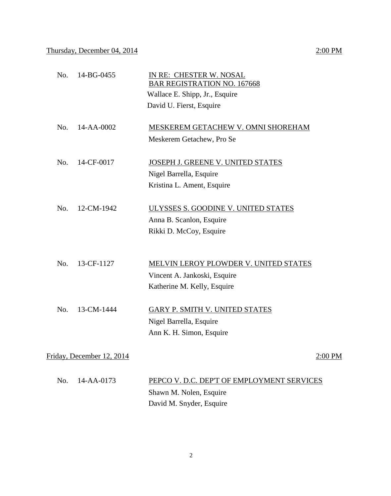| No.                                    | 14-BG-0455 | IN RE: CHESTER W. NOSAL<br><b>BAR REGISTRATION NO. 167668</b><br>Wallace E. Shipp, Jr., Esquire<br>David U. Fierst, Esquire |  |
|----------------------------------------|------------|-----------------------------------------------------------------------------------------------------------------------------|--|
| No.                                    | 14-AA-0002 | MESKEREM GETACHEW V. OMNI SHOREHAM<br>Meskerem Getachew, Pro Se                                                             |  |
| No.                                    | 14-CF-0017 | JOSEPH J. GREENE V. UNITED STATES<br>Nigel Barrella, Esquire<br>Kristina L. Ament, Esquire                                  |  |
| No.                                    | 12-CM-1942 | ULYSSES S. GOODINE V. UNITED STATES<br>Anna B. Scanlon, Esquire<br>Rikki D. McCoy, Esquire                                  |  |
| No.                                    | 13-CF-1127 | <b>MELVIN LEROY PLOWDER V. UNITED STATES</b><br>Vincent A. Jankoski, Esquire<br>Katherine M. Kelly, Esquire                 |  |
| No.                                    | 13-CM-1444 | GARY P. SMITH V. UNITED STATES<br>Nigel Barrella, Esquire<br>Ann K. H. Simon, Esquire                                       |  |
| Friday, December 12, 2014<br>$2:00$ PM |            |                                                                                                                             |  |

| No. 14-AA-0173 | PEPCO V. D.C. DEP'T OF EMPLOYMENT SERVICES |
|----------------|--------------------------------------------|
|                | Shawn M. Nolen, Esquire                    |
|                | David M. Snyder, Esquire                   |